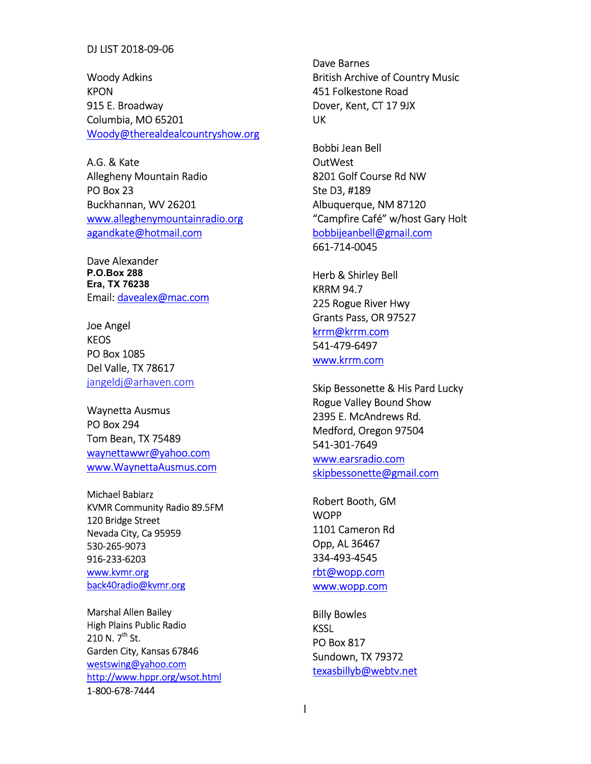## DJ LIST 2018-09-06

Woody Adkins KPON 915 E. Broadway Columbia, MO 65201 Woody@therealdealcountryshow.org

A.G. & Kate Allegheny Mountain Radio PO Box 23 Buckhannan, WV 26201 www.alleghenymountainradio.org agandkate@hotmail.com

Dave Alexander P.O.Box 288 Era, TX 76238 Email: davealex@mac.com

Joe Angel KEOS PO Box 1085 Del Valle, TX 78617 jangeldj@arhaven.com

Waynetta Ausmus PO Box 294 Tom Bean, TX 75489 waynettawwr@yahoo.com www.WaynettaAusmus.com

Michael Babiarz KVMR Community Radio 89.5FM 120 Bridge Street Nevada City, Ca 95959 530-265-9073 916-233-6203 www.kvmr.org back40radio@kvmr.org

Marshal Allen Bailey High Plains Public Radio 210 N.  $7^{th}$  St. Garden City, Kansas 67846 westswing@yahoo.com http://www.hppr.org/wsot.html 1-800-678-7444

Dave Barnes British Archive of Country Music 451 Folkestone Road Dover, Kent, CT 17 9JX UK

Bobbi Jean Bell OutWest 8201 Golf Course Rd NW Ste D3, #189 Albuquerque, NM 87120 "Campfire Café" w/host Gary Holt bobbijeanbell@gmail.com 661-714-0045

Herb & Shirley Bell KRRM 94.7 225 Rogue River Hwy Grants Pass, OR 97527 krrm@krrm.com 541-479-6497 www.krrm.com

Skip Bessonette & His Pard Lucky Rogue Valley Bound Show 2395 E. McAndrews Rd. Medford, Oregon 97504 541-301-7649 www.earsradio.com skipbessonette@gmail.com

Robert Booth, GM **WOPP** 1101 Cameron Rd Opp, AL 36467 334-493-4545 rbt@wopp.com www.wopp.com

Billy Bowles **KSSL** PO Box 817 Sundown, TX 79372 texasbillyb@webtv.net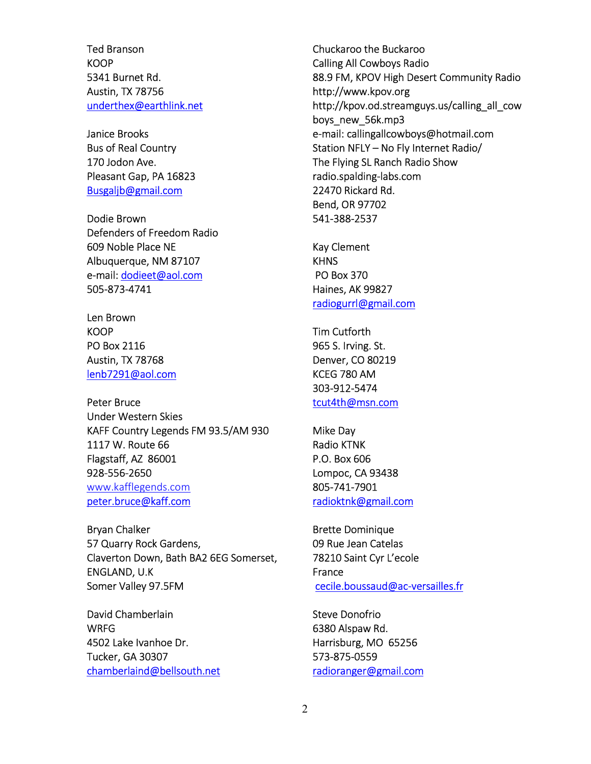Ted Branson **KOOP** 5341 Burnet Rd. Austin, TX 78756 underthex@earthlink.net

Janice Brooks Bus of Real Country 170 Jodon Ave. Pleasant Gap, PA 16823 Busgaljb@gmail.com

Dodie Brown Defenders of Freedom Radio 609 Noble Place NE Albuquerque, NM 87107 e-mail: dodieet@aol.com 505-873-4741

Len Brown **KOOP** PO Box 2116 Austin, TX 78768 lenb7291@aol.com

Peter Bruce Under Western Skies KAFF Country Legends FM 93.5/AM 930 1117 W. Route 66 Flagstaff, AZ 86001 928-556-2650 www.kafflegends.com peter.bruce@kaff.com

Bryan Chalker 57 Quarry Rock Gardens, Claverton Down, Bath BA2 6EG Somerset, ENGLAND, U.K Somer Valley 97.5FM

David Chamberlain WRFG 4502 Lake Ivanhoe Dr. Tucker, GA 30307 chamberlaind@bellsouth.net

Chuckaroo the Buckaroo Calling All Cowboys Radio 88.9 FM, KPOV High Desert Community Radio http://www.kpov.org http://kpov.od.streamguys.us/calling\_all\_cow boys\_new\_56k.mp3 e-mail: callingallcowboys@hotmail.com Station NFLY – No Fly Internet Radio/ The Flying SL Ranch Radio Show radio.spalding-labs.com 22470 Rickard Rd. Bend, OR 97702 541-388-2537

Kay Clement **KHNS**  PO Box 370 Haines, AK 99827 radiogurrl@gmail.com

Tim Cutforth 965 S. Irving. St. Denver, CO 80219 KCEG 780 AM 303-912-5474 tcut4th@msn.com

Mike Day Radio KTNK P.O. Box 606 Lompoc, CA 93438 805-741-7901 radioktnk@gmail.com

Brette Dominique 09 Rue Jean Catelas 78210 Saint Cyr L'ecole France cecile.boussaud@ac-versailles.fr

Steve Donofrio 6380 Alspaw Rd. Harrisburg, MO 65256 573-875-0559 radioranger@gmail.com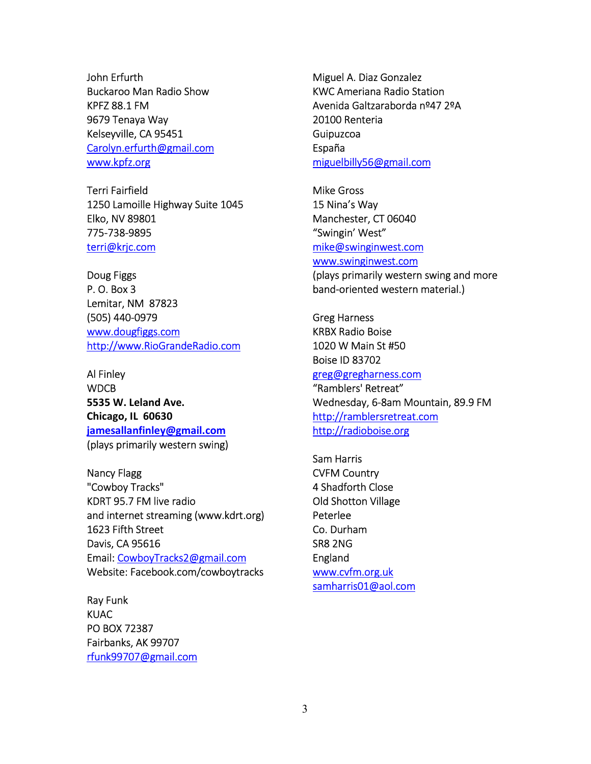John Erfurth Buckaroo Man Radio Show KPFZ 88.1 FM 9679 Tenaya Way Kelseyville, CA 95451 Carolyn.erfurth@gmail.com www.kpfz.org

Terri Fairfield 1250 Lamoille Highway Suite 1045 Elko, NV 89801 775-738-9895 terri@krjc.com

Doug Figgs P. O. Box 3 Lemitar, NM 87823 (505) 440-0979 www.dougfiggs.com http://www.RioGrandeRadio.com

Al Finley **WDCB** 5535 W. Leland Ave. Chicago, IL 60630 jamesallanfinley@gmail.com (plays primarily western swing)

Nancy Flagg "Cowboy Tracks" KDRT 95.7 FM live radio and internet streaming (www.kdrt.org) 1623 Fifth Street Davis, CA 95616 Email: CowboyTracks2@gmail.com Website: Facebook.com/cowboytracks

Ray Funk KUAC PO BOX 72387 Fairbanks, AK 99707 rfunk99707@gmail.com

Miguel A. Diaz Gonzalez KWC Ameriana Radio Station Avenida Galtzaraborda nº47 2ºA 20100 Renteria Guipuzcoa España miguelbilly56@gmail.com

Mike Gross 15 Nina's Way Manchester, CT 06040 "Swingin' West" mike@swinginwest.com www.swinginwest.com

(plays primarily western swing and more band-oriented western material.)

Greg Harness KRBX Radio Boise 1020 W Main St #50 Boise ID 83702 greg@gregharness.com "Ramblers' Retreat" Wednesday, 6-8am Mountain, 89.9 FM http://ramblersretreat.com http://radioboise.org

Sam Harris CVFM Country 4 Shadforth Close Old Shotton Village Peterlee Co. Durham SR8 2NG England www.cvfm.org.uk samharris01@aol.com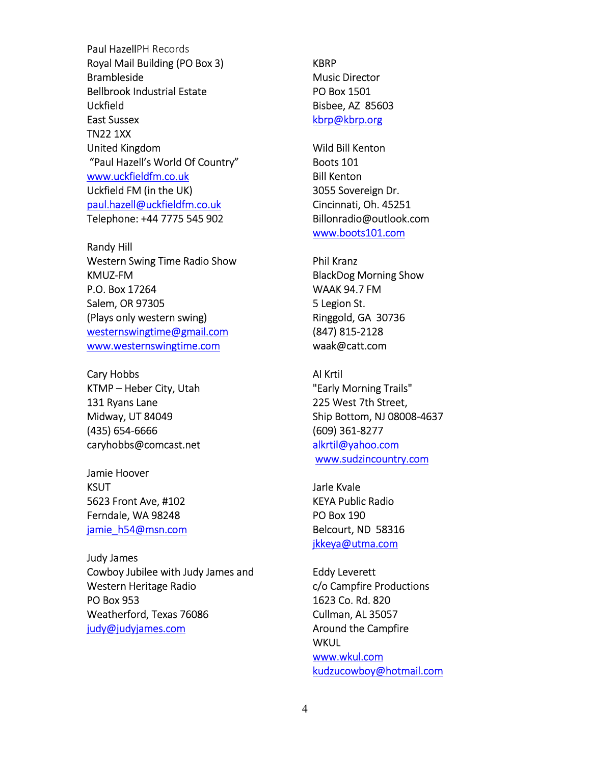Paul HazellPH Records Royal Mail Building (PO Box 3) Brambleside Bellbrook Industrial Estate Uckfield East Sussex TN22 1XX United Kingdom "Paul Hazell's World Of Country" www.uckfieldfm.co.uk Uckfield FM (in the UK) paul.hazell@uckfieldfm.co.uk Telephone: +44 7775 545 902

Randy Hill Western Swing Time Radio Show KMUZ-FM P.O. Box 17264 Salem, OR 97305 (Plays only western swing) westernswingtime@gmail.com www.westernswingtime.com

Cary Hobbs KTMP – Heber City, Utah 131 Ryans Lane Midway, UT 84049 (435) 654-6666 caryhobbs@comcast.net

Jamie Hoover **KSUT** 5623 Front Ave, #102 Ferndale, WA 98248 jamie\_h54@msn.com

Judy James Cowboy Jubilee with Judy James and Western Heritage Radio PO Box 953 Weatherford, Texas 76086 judy@judyjames.com

KBRP Music Director PO Box 1501 Bisbee, AZ 85603 kbrp@kbrp.org

Wild Bill Kenton Boots 101 Bill Kenton 3055 Sovereign Dr. Cincinnati, Oh. 45251 Billonradio@outlook.com www.boots101.com

Phil Kranz BlackDog Morning Show WAAK 94.7 FM 5 Legion St. Ringgold, GA 30736 (847) 815-2128 waak@catt.com

Al Krtil "Early Morning Trails" 225 West 7th Street, Ship Bottom, NJ 08008-4637 (609) 361-8277 alkrtil@yahoo.com www.sudzincountry.com

Jarle Kvale KEYA Public Radio PO Box 190 Belcourt, ND 58316 jkkeya@utma.com

Eddy Leverett c/o Campfire Productions 1623 Co. Rd. 820 Cullman, AL 35057 Around the Campfire **WKUL** www.wkul.com kudzucowboy@hotmail.com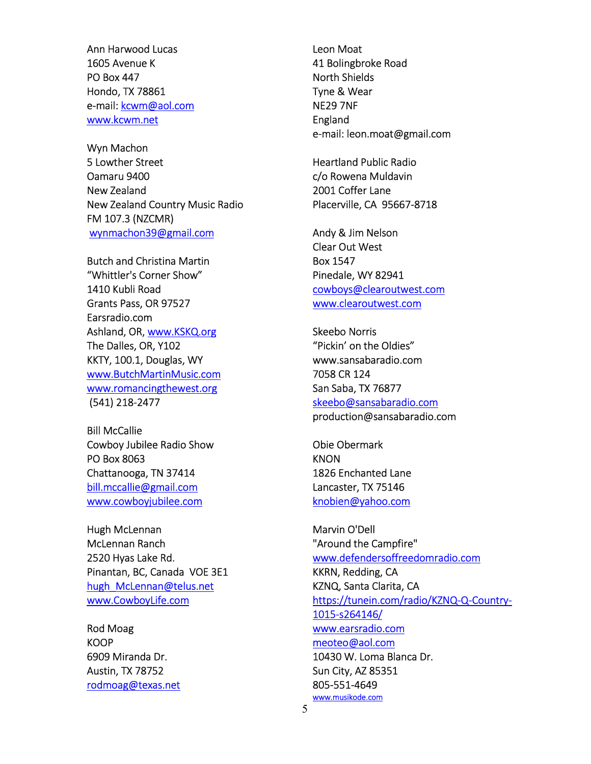Ann Harwood Lucas 1605 Avenue K PO Box 447 Hondo, TX 78861 e-mail: kcwm@aol.com www.kcwm.net

Wyn Machon 5 Lowther Street Oamaru 9400 New Zealand New Zealand Country Music Radio FM 107.3 (NZCMR) wynmachon39@gmail.com

Butch and Christina Martin "Whittler's Corner Show" 1410 Kubli Road Grants Pass, OR 97527 Earsradio.com Ashland, OR, www.KSKQ.org The Dalles, OR, Y102 KKTY, 100.1, Douglas, WY www.ButchMartinMusic.com www.romancingthewest.org (541) 218-2477

Bill McCallie Cowboy Jubilee Radio Show PO Box 8063 Chattanooga, TN 37414 bill.mccallie@gmail.com www.cowboyjubilee.com

Hugh McLennan McLennan Ranch 2520 Hyas Lake Rd. Pinantan, BC, Canada VOE 3E1 hugh McLennan@telus.net www.CowboyLife.com

Rod Moag **KOOP** 6909 Miranda Dr. Austin, TX 78752 rodmoag@texas.net

Leon Moat 41 Bolingbroke Road North Shields Tyne & Wear NE29 7NF England e-mail: leon.moat@gmail.com

Heartland Public Radio c/o Rowena Muldavin 2001 Coffer Lane Placerville, CA 95667-8718

Andy & Jim Nelson Clear Out West Box 1547 Pinedale, WY 82941 cowboys@clearoutwest.com www.clearoutwest.com

Skeebo Norris "Pickin' on the Oldies" www.sansabaradio.com 7058 CR 124 San Saba, TX 76877 skeebo@sansabaradio.com production@sansabaradio.com

Obie Obermark **KNON** 1826 Enchanted Lane Lancaster, TX 75146 knobien@yahoo.com

Marvin O'Dell "Around the Campfire" www.defendersoffreedomradio.com KKRN, Redding, CA KZNQ, Santa Clarita, CA https://tunein.com/radio/KZNQ-Q-Country-1015-s264146/ www.earsradio.com meoteo@aol.com 10430 W. Loma Blanca Dr. Sun City, AZ 85351 805-551-4649 www.musikode.com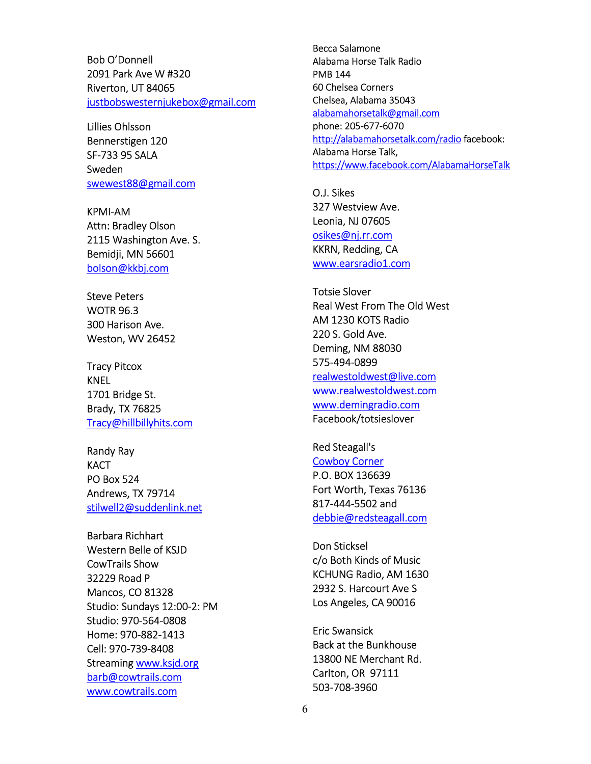Bob O'Donnell 2091 Park Ave W #320 Riverton, UT 84065 justbobswesternjukebox@gmail.com

Lillies Ohlsson Bennerstigen 120 SF-733 95 SALA Sweden swewest88@gmail.com

KPMI-AM Attn: Bradley Olson 2115 Washington Ave. S. Bemidji, MN 56601 bolson@kkbj.com

Steve Peters WOTR 96.3 300 Harison Ave. Weston, WV 26452

Tracy Pitcox KNEL 1701 Bridge St. Brady, TX 76825 Tracy@hillbillyhits.com

Randy Ray **KACT** PO Box 524 Andrews, TX 79714 stilwell2@suddenlink.net

Barbara Richhart Western Belle of KSJD CowTrails Show 32229 Road P Mancos, CO 81328 Studio: Sundays 12:00-2: PM Studio: 970-564-0808 Home: 970-882-1413 Cell: 970-739-8408 Streaming www.ksjd.org barb@cowtrails.com www.cowtrails.com

Becca Salamone Alabama Horse Talk Radio PMB 144 60 Chelsea Corners Chelsea, Alabama 35043 alabamahorsetalk@gmail.com phone: 205-677-6070 http://alabamahorsetalk.com/radio facebook: Alabama Horse Talk, https://www.facebook.com/AlabamaHorseTalk

O.J. Sikes 327 Westview Ave. Leonia, NJ 07605 osikes@nj.rr.com KKRN, Redding, CA www.earsradio1.com

Totsie Slover Real West From The Old West AM 1230 KOTS Radio 220 S. Gold Ave. Deming, NM 88030 575-494-0899 realwestoldwest@live.com www.realwestoldwest.com www.demingradio.com Facebook/totsieslover

Red Steagall's Cowboy Corner P.O. BOX 136639 Fort Worth, Texas 76136 817-444-5502 and debbie@redsteagall.com

Don Sticksel c/o Both Kinds of Music KCHUNG Radio, AM 1630 2932 S. Harcourt Ave S Los Angeles, CA 90016

Eric Swansick Back at the Bunkhouse 13800 NE Merchant Rd. Carlton, OR 97111 503-708-3960